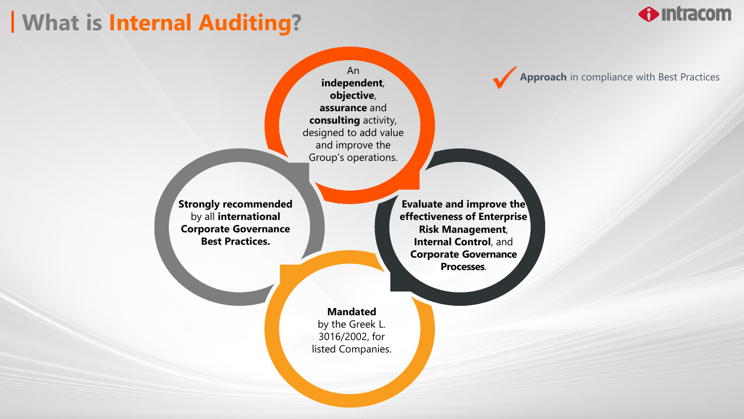## **What is Internal Auditing?**

**O** Intracom

An **independent**, **objective**, **assurance** and **consulting** activity, designed to add value and improve the Group's operations.

**Strongly recommended**  by all **international Corporate Governance Best Practices.**

**Evaluate and improve the effectiveness of Enterprise Risk Management**, **Internal Control**, and **Corporate Governance Processes**.

**Mandated** by the Greek L. 3016/2002, for listed Companies. **Approach** in compliance with Best Practices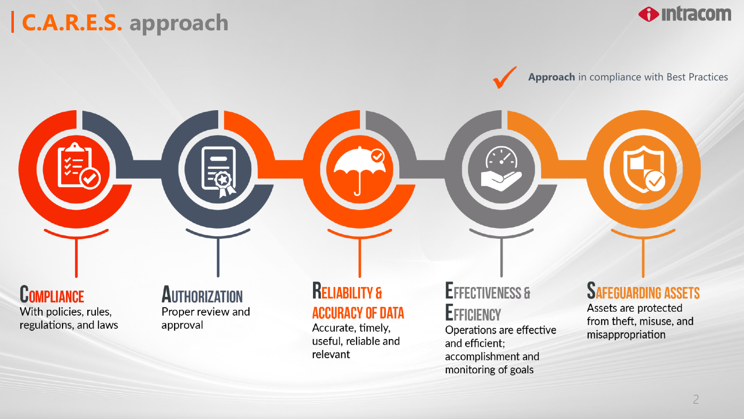# | C.A.R.E.S. approach



Approach in compliance with Best Practices

**COMPLIANCE** 

With policies, rules, regulations, and laws

### **AUTHORIZATION** Proper review and

approval

### **RELIABILITY & ACCURACY OF DATA**

Accurate, timely, useful, reliable and relevant

### **EFFECTIVENESS &** EFFICIENCY

Operations are effective and efficient; accomplishment and monitoring of goals

### **SAFEGUARDING ASSETS**

Assets are protected from theft, misuse, and misappropriation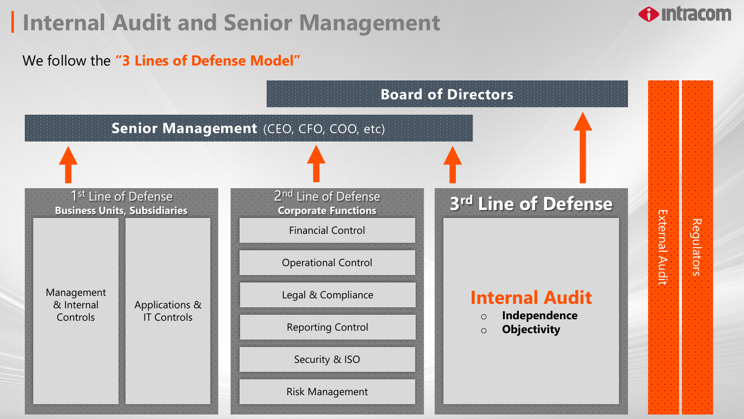## **Internal Audit and Senior Management**

### We follow the **"3 Lines of Defense Model"**



Regulators

 $\bigoplus$  intracom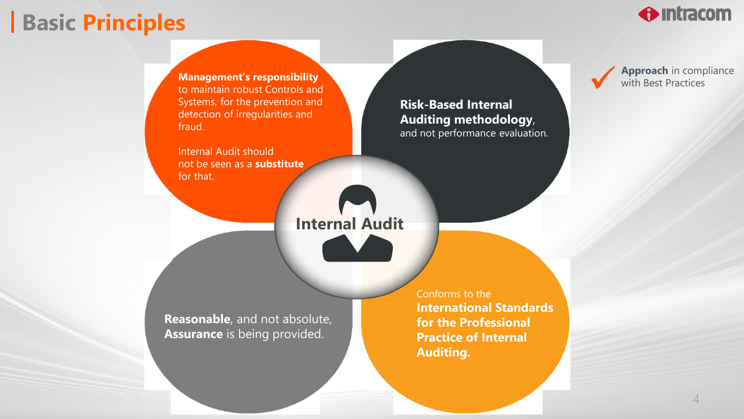### **Basic Principles**



**Management's responsibility**  to maintain robust Controls and Systems, for the prevention and detection of irregularities and fraud.

Internal Audit should not be seen as a **substitute**  for that.

**Risk-Based Internal Auditing methodology**, and not performance evaluation. **Approach** in compliance with Best Practices

**Internal Audit**

**Reasonable**, and not absolute, **Assurance** is being provided.

Conforms to the **International Standards for the Professional Practice of Internal Auditing.**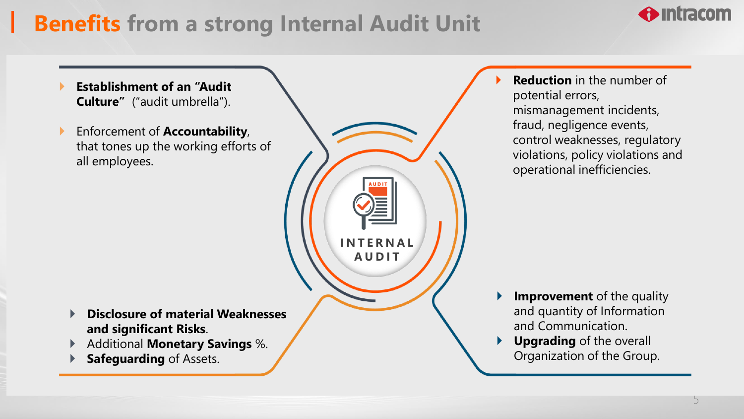# **Benefits from a strong Internal Audit Unit**

**I N T E R N A L A U D I T**

- **Establishment of an "Audit Culture"** ("audit umbrella").
- Enforcement of **Accountability**, that tones up the working efforts of all employees.

- **Disclosure of material Weaknesses and significant Risks**.
- Additional **Monetary Savings** %.
- **Safeguarding** of Assets.

 **Reduction** in the number of potential errors, mismanagement incidents, fraud, negligence events, control weaknesses, regulatory violations, policy violations and operational inefficiencies.

- **Improvement** of the quality and quantity of Information and Communication.
- **Upgrading** of the overall Organization of the Group.

 $\bigoplus$  intracom